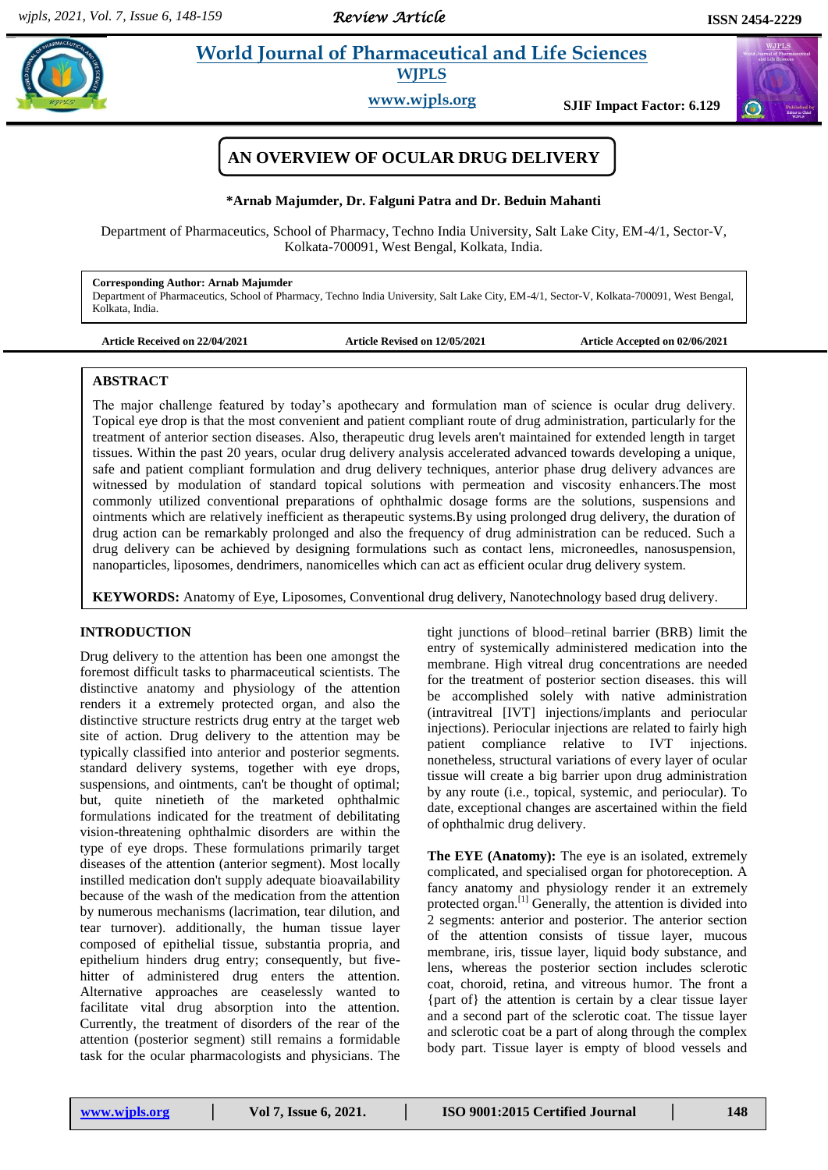*Review Article* 

 $\omega$ 

# **Armab 2 et al.** *Pharmaceutical and Life Sciences* **WJPLS**

**www.wjpls.org SJIF Impact Factor: 6.129**



#### **\*Arnab Majumder, Dr. Falguni Patra and Dr. Beduin Mahanti**

Department of Pharmaceutics, School of Pharmacy, Techno India University, Salt Lake City, EM-4/1, Sector-V, Kolkata-700091, West Bengal, Kolkata, India.

#### **Corresponding Author: Arnab Majumder**

Department of Pharmaceutics, School of Pharmacy, Techno India University, Salt Lake City, EM-4/1, Sector-V, Kolkata-700091, West Bengal, Kolkata, India.

Article Revised on  $12/05/2021$  Article Accepted on  $02/06/2021$ 

#### **ABSTRACT**

The major challenge featured by today's apothecary and formulation man of science is ocular drug delivery. Topical eye drop is that the most convenient and patient compliant route of drug administration, particularly for the treatment of anterior section diseases. Also, therapeutic drug levels aren't maintained for extended length in target tissues. Within the past 20 years, ocular drug delivery analysis accelerated advanced towards developing a unique, safe and patient compliant formulation and drug delivery techniques, anterior phase drug delivery advances are witnessed by modulation of standard topical solutions with permeation and viscosity enhancers.The most commonly utilized conventional preparations of ophthalmic dosage forms are the solutions, suspensions and ointments which are relatively inefficient as therapeutic systems.By using prolonged drug delivery, the duration of drug action can be remarkably prolonged and also the frequency of drug administration can be reduced. Such a drug delivery can be achieved by designing formulations such as contact lens, microneedles, nanosuspension, nanoparticles, liposomes, dendrimers, nanomicelles which can act as efficient ocular drug delivery system.

**KEYWORDS:** Anatomy of Eye, Liposomes, Conventional drug delivery, Nanotechnology based drug delivery.

### **INTRODUCTION**

Drug delivery to the attention has been one amongst the foremost difficult tasks to pharmaceutical scientists. The distinctive anatomy and physiology of the attention renders it a extremely protected organ, and also the distinctive structure restricts drug entry at the target web site of action. Drug delivery to the attention may be typically classified into anterior and posterior segments. standard delivery systems, together with eye drops, suspensions, and ointments, can't be thought of optimal; but, quite ninetieth of the marketed ophthalmic formulations indicated for the treatment of debilitating vision-threatening ophthalmic disorders are within the type of eye drops. These formulations primarily target diseases of the attention (anterior segment). Most locally instilled medication don't supply adequate bioavailability because of the wash of the medication from the attention by numerous mechanisms (lacrimation, tear dilution, and tear turnover). additionally, the human tissue layer composed of epithelial tissue, substantia propria, and epithelium hinders drug entry; consequently, but fivehitter of administered drug enters the attention. Alternative approaches are ceaselessly wanted to facilitate vital drug absorption into the attention. Currently, the treatment of disorders of the rear of the attention (posterior segment) still remains a formidable task for the ocular pharmacologists and physicians. The

tight junctions of blood–retinal barrier (BRB) limit the entry of systemically administered medication into the membrane. High vitreal drug concentrations are needed for the treatment of posterior section diseases. this will be accomplished solely with native administration (intravitreal [IVT] injections/implants and periocular injections). Periocular injections are related to fairly high patient compliance relative to IVT injections. nonetheless, structural variations of every layer of ocular tissue will create a big barrier upon drug administration by any route (i.e., topical, systemic, and periocular). To date, exceptional changes are ascertained within the field of ophthalmic drug delivery.

**The EYE (Anatomy):** The eye is an isolated, extremely complicated, and specialised organ for photoreception. A fancy anatomy and physiology render it an extremely protected organ.[1] Generally, the attention is divided into 2 segments: anterior and posterior. The anterior section of the attention consists of tissue layer, mucous membrane, iris, tissue layer, liquid body substance, and lens, whereas the posterior section includes sclerotic coat, choroid, retina, and vitreous humor. The front a {part of} the attention is certain by a clear tissue layer and a second part of the sclerotic coat. The tissue layer and sclerotic coat be a part of along through the complex body part. Tissue layer is empty of blood vessels and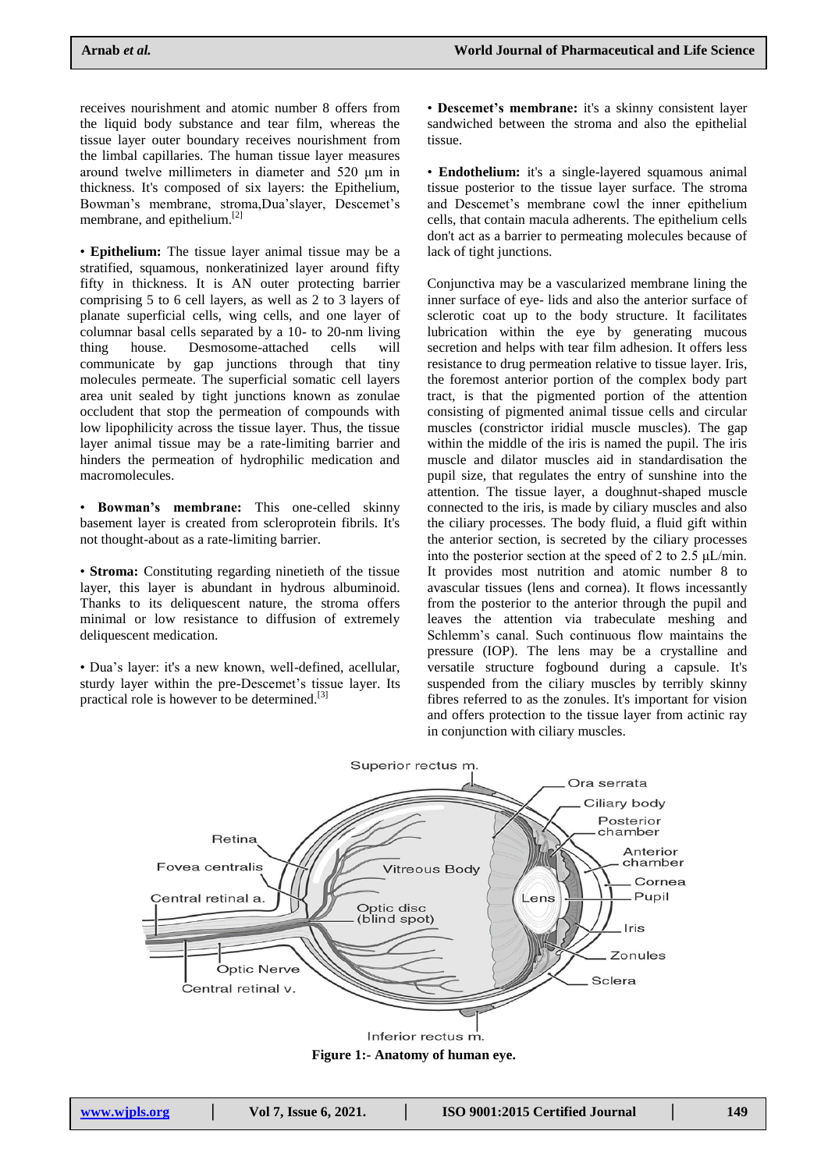receives nourishment and atomic number 8 offers from the liquid body substance and tear film, whereas the tissue layer outer boundary receives nourishment from the limbal capillaries. The human tissue layer measures around twelve millimeters in diameter and 520 μm in thickness. It's composed of six layers: the Epithelium, Bowman's membrane, stroma,Dua'slayer, Descemet's membrane, and epithelium.[2]

• **Epithelium:** The tissue layer animal tissue may be a stratified, squamous, nonkeratinized layer around fifty fifty in thickness. It is AN outer protecting barrier comprising 5 to 6 cell layers, as well as 2 to 3 layers of planate superficial cells, wing cells, and one layer of columnar basal cells separated by a 10- to 20-nm living thing house. Desmosome-attached cells will communicate by gap junctions through that tiny molecules permeate. The superficial somatic cell layers area unit sealed by tight junctions known as zonulae occludent that stop the permeation of compounds with low lipophilicity across the tissue layer. Thus, the tissue layer animal tissue may be a rate-limiting barrier and hinders the permeation of hydrophilic medication and macromolecules.

• **Bowman's membrane:** This one-celled skinny basement layer is created from scleroprotein fibrils. It's not thought-about as a rate-limiting barrier.

• **Stroma:** Constituting regarding ninetieth of the tissue layer, this layer is abundant in hydrous albuminoid. Thanks to its deliquescent nature, the stroma offers minimal or low resistance to diffusion of extremely deliquescent medication.

• Dua's layer: it's a new known, well-defined, acellular, sturdy layer within the pre-Descemet's tissue layer. Its practical role is however to be determined.<sup>[3]</sup>

• **Descemet's membrane:** it's a skinny consistent layer sandwiched between the stroma and also the epithelial tissue.

• **Endothelium:** it's a single-layered squamous animal tissue posterior to the tissue layer surface. The stroma and Descemet's membrane cowl the inner epithelium cells, that contain macula adherents. The epithelium cells don't act as a barrier to permeating molecules because of lack of tight junctions.

Conjunctiva may be a vascularized membrane lining the inner surface of eye- lids and also the anterior surface of sclerotic coat up to the body structure. It facilitates lubrication within the eye by generating mucous secretion and helps with tear film adhesion. It offers less resistance to drug permeation relative to tissue layer. Iris, the foremost anterior portion of the complex body part tract, is that the pigmented portion of the attention consisting of pigmented animal tissue cells and circular muscles (constrictor iridial muscle muscles). The gap within the middle of the iris is named the pupil. The iris muscle and dilator muscles aid in standardisation the pupil size, that regulates the entry of sunshine into the attention. The tissue layer, a doughnut-shaped muscle connected to the iris, is made by ciliary muscles and also the ciliary processes. The body fluid, a fluid gift within the anterior section, is secreted by the ciliary processes into the posterior section at the speed of 2 to 2.5 μL/min. It provides most nutrition and atomic number 8 to avascular tissues (lens and cornea). It flows incessantly from the posterior to the anterior through the pupil and leaves the attention via trabeculate meshing and Schlemm's canal. Such continuous flow maintains the pressure (IOP). The lens may be a crystalline and versatile structure fogbound during a capsule. It's suspended from the ciliary muscles by terribly skinny fibres referred to as the zonules. It's important for vision and offers protection to the tissue layer from actinic ray in conjunction with ciliary muscles.



**Figure 1:- Anatomy of human eye.**

| www.wipls.org | Vol 7, Issue 6, 2021. | <b>ISO 9001:20</b> |
|---------------|-----------------------|--------------------|
|---------------|-----------------------|--------------------|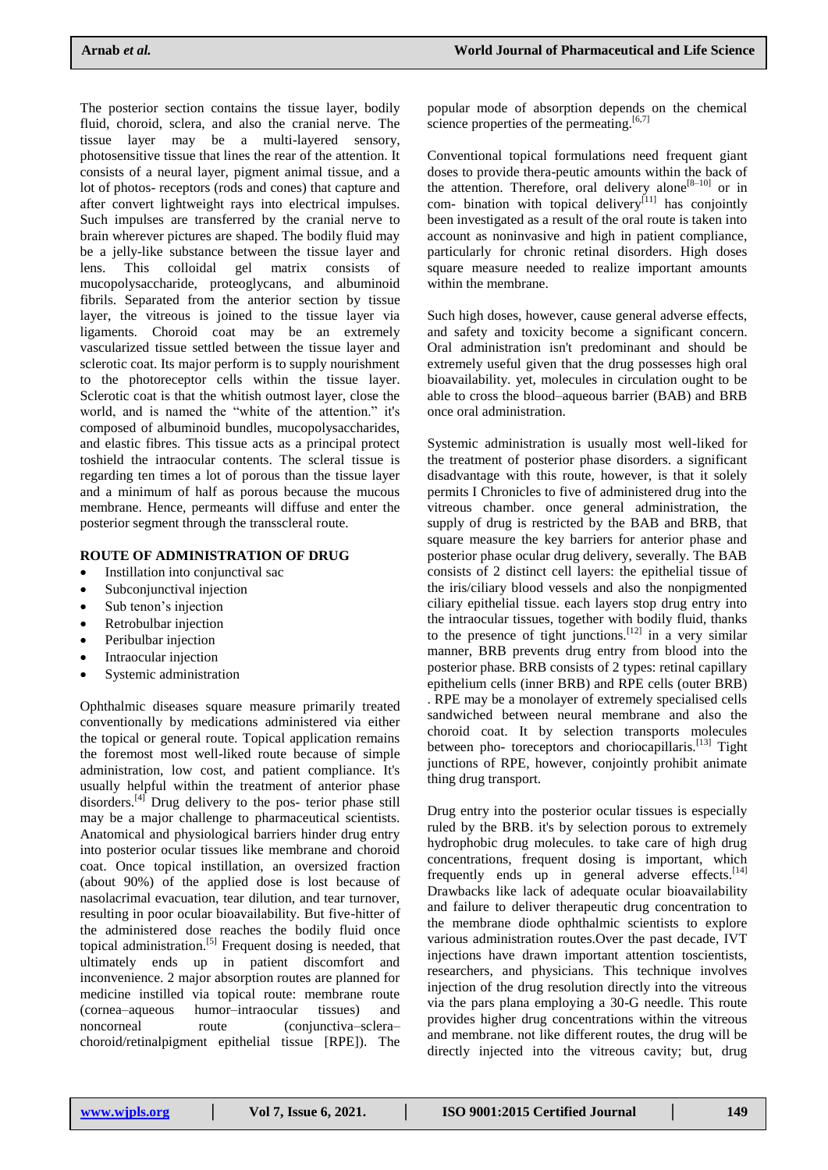The posterior section contains the tissue layer, bodily fluid, choroid, sclera, and also the cranial nerve. The tissue layer may be a multi-layered sensory, photosensitive tissue that lines the rear of the attention. It consists of a neural layer, pigment animal tissue, and a lot of photos- receptors (rods and cones) that capture and after convert lightweight rays into electrical impulses. Such impulses are transferred by the cranial nerve to brain wherever pictures are shaped. The bodily fluid may be a jelly-like substance between the tissue layer and lens. This colloidal gel matrix consists of mucopolysaccharide, proteoglycans, and albuminoid fibrils. Separated from the anterior section by tissue layer, the vitreous is joined to the tissue layer via ligaments. Choroid coat may be an extremely vascularized tissue settled between the tissue layer and sclerotic coat. Its major perform is to supply nourishment to the photoreceptor cells within the tissue layer. Sclerotic coat is that the whitish outmost layer, close the world, and is named the "white of the attention." it's composed of albuminoid bundles, mucopolysaccharides, and elastic fibres. This tissue acts as a principal protect toshield the intraocular contents. The scleral tissue is regarding ten times a lot of porous than the tissue layer and a minimum of half as porous because the mucous membrane. Hence, permeants will diffuse and enter the posterior segment through the transscleral route.

## **ROUTE OF ADMINISTRATION OF DRUG**

- Instillation into conjunctival sac
- Subconjunctival injection
- Sub tenon's injection
- Retrobulbar injection
- Peribulbar injection
- Intraocular injection
- Systemic administration

Ophthalmic diseases square measure primarily treated conventionally by medications administered via either the topical or general route. Topical application remains the foremost most well-liked route because of simple administration, low cost, and patient compliance. It's usually helpful within the treatment of anterior phase disorders.<sup>[4]</sup> Drug delivery to the pos- terior phase still may be a major challenge to pharmaceutical scientists. Anatomical and physiological barriers hinder drug entry into posterior ocular tissues like membrane and choroid coat. Once topical instillation, an oversized fraction (about 90%) of the applied dose is lost because of nasolacrimal evacuation, tear dilution, and tear turnover, resulting in poor ocular bioavailability. But five-hitter of the administered dose reaches the bodily fluid once topical administration.<sup>[5]</sup> Frequent dosing is needed, that ultimately ends up in patient discomfort and inconvenience. 2 major absorption routes are planned for medicine instilled via topical route: membrane route (cornea–aqueous humor–intraocular tissues) and noncorneal route (conjunctiva–sclera– choroid/retinalpigment epithelial tissue [RPE]). The

popular mode of absorption depends on the chemical science properties of the permeating.<sup>[6,7]</sup>

Conventional topical formulations need frequent giant doses to provide thera-peutic amounts within the back of the attention. Therefore, oral delivery alone<sup>[8-10]</sup> or in com- bination with topical delivery<sup>[11]</sup> has conjointly been investigated as a result of the oral route is taken into account as noninvasive and high in patient compliance, particularly for chronic retinal disorders. High doses square measure needed to realize important amounts within the membrane.

Such high doses, however, cause general adverse effects, and safety and toxicity become a significant concern. Oral administration isn't predominant and should be extremely useful given that the drug possesses high oral bioavailability. yet, molecules in circulation ought to be able to cross the blood–aqueous barrier (BAB) and BRB once oral administration.

Systemic administration is usually most well-liked for the treatment of posterior phase disorders. a significant disadvantage with this route, however, is that it solely permits I Chronicles to five of administered drug into the vitreous chamber. once general administration, the supply of drug is restricted by the BAB and BRB, that square measure the key barriers for anterior phase and posterior phase ocular drug delivery, severally. The BAB consists of 2 distinct cell layers: the epithelial tissue of the iris/ciliary blood vessels and also the nonpigmented ciliary epithelial tissue. each layers stop drug entry into the intraocular tissues, together with bodily fluid, thanks to the presence of tight junctions.<sup>[12]</sup> in a very similar manner, BRB prevents drug entry from blood into the posterior phase. BRB consists of 2 types: retinal capillary epithelium cells (inner BRB) and RPE cells (outer BRB) . RPE may be a monolayer of extremely specialised cells sandwiched between neural membrane and also the choroid coat. It by selection transports molecules between pho- toreceptors and choriocapillaris.<sup>[13]</sup> Tight junctions of RPE, however, conjointly prohibit animate thing drug transport.

Drug entry into the posterior ocular tissues is especially ruled by the BRB. it's by selection porous to extremely hydrophobic drug molecules. to take care of high drug concentrations, frequent dosing is important, which frequently ends up in general adverse effects. $[14]$ Drawbacks like lack of adequate ocular bioavailability and failure to deliver therapeutic drug concentration to the membrane diode ophthalmic scientists to explore various administration routes.Over the past decade, IVT injections have drawn important attention toscientists, researchers, and physicians. This technique involves injection of the drug resolution directly into the vitreous via the pars plana employing a 30-G needle. This route provides higher drug concentrations within the vitreous and membrane. not like different routes, the drug will be directly injected into the vitreous cavity; but, drug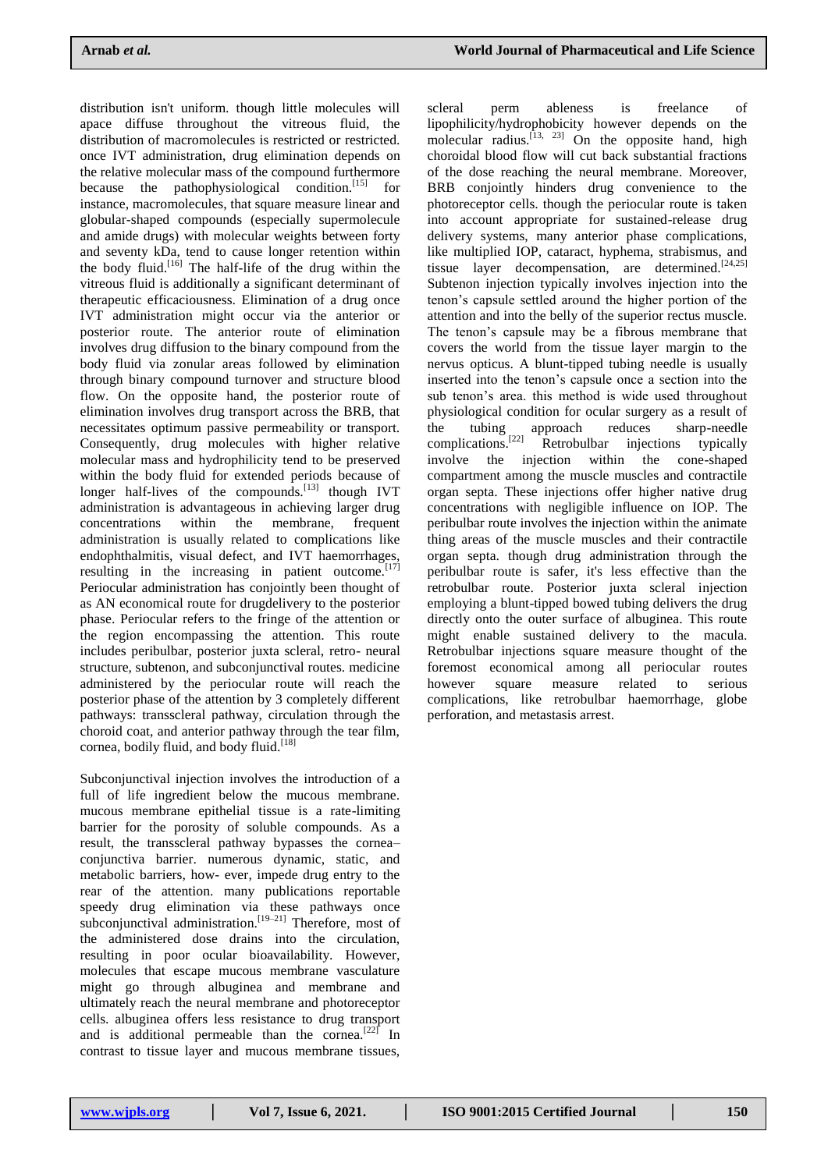distribution isn't uniform. though little molecules will apace diffuse throughout the vitreous fluid, the distribution of macromolecules is restricted or restricted. once IVT administration, drug elimination depends on the relative molecular mass of the compound furthermore because the pathophysiological condition.<sup>[15]</sup> for instance, macromolecules, that square measure linear and globular-shaped compounds (especially supermolecule and amide drugs) with molecular weights between forty and seventy kDa, tend to cause longer retention within the body fluid.<sup>[16]</sup> The half-life of the drug within the vitreous fluid is additionally a significant determinant of therapeutic efficaciousness. Elimination of a drug once IVT administration might occur via the anterior or posterior route. The anterior route of elimination involves drug diffusion to the binary compound from the body fluid via zonular areas followed by elimination through binary compound turnover and structure blood flow. On the opposite hand, the posterior route of elimination involves drug transport across the BRB, that necessitates optimum passive permeability or transport. Consequently, drug molecules with higher relative molecular mass and hydrophilicity tend to be preserved within the body fluid for extended periods because of longer half-lives of the compounds.<sup>[13]</sup> though IVT administration is advantageous in achieving larger drug concentrations within the membrane, frequent administration is usually related to complications like endophthalmitis, visual defect, and IVT haemorrhages, resulting in the increasing in patient outcome. $[17]$ Periocular administration has conjointly been thought of as AN economical route for drugdelivery to the posterior phase. Periocular refers to the fringe of the attention or the region encompassing the attention. This route includes peribulbar, posterior juxta scleral, retro- neural structure, subtenon, and subconjunctival routes. medicine administered by the periocular route will reach the posterior phase of the attention by 3 completely different pathways: transscleral pathway, circulation through the choroid coat, and anterior pathway through the tear film, cornea, bodily fluid, and body fluid.<sup>[18]</sup>

Subconjunctival injection involves the introduction of a full of life ingredient below the mucous membrane. mucous membrane epithelial tissue is a rate-limiting barrier for the porosity of soluble compounds. As a result, the transscleral pathway bypasses the cornea– conjunctiva barrier. numerous dynamic, static, and metabolic barriers, how- ever, impede drug entry to the rear of the attention. many publications reportable speedy drug elimination via these pathways once subconjunctival administration.<sup>[19–21]</sup> Therefore, most of the administered dose drains into the circulation, resulting in poor ocular bioavailability. However, molecules that escape mucous membrane vasculature might go through albuginea and membrane and ultimately reach the neural membrane and photoreceptor cells. albuginea offers less resistance to drug transport and is additional permeable than the cornea.<sup>[22]</sup> In contrast to tissue layer and mucous membrane tissues,

scleral perm ableness is freelance of lipophilicity/hydrophobicity however depends on the molecular radius.<sup>[13, 23]</sup> On the opposite hand, high choroidal blood flow will cut back substantial fractions of the dose reaching the neural membrane. Moreover, BRB conjointly hinders drug convenience to the photoreceptor cells. though the periocular route is taken into account appropriate for sustained-release drug delivery systems, many anterior phase complications, like multiplied IOP, cataract, hyphema, strabismus, and tissue layer decompensation, are determined.<sup>[24,25]</sup> Subtenon injection typically involves injection into the tenon's capsule settled around the higher portion of the attention and into the belly of the superior rectus muscle. The tenon's capsule may be a fibrous membrane that covers the world from the tissue layer margin to the nervus opticus. A blunt-tipped tubing needle is usually inserted into the tenon's capsule once a section into the sub tenon's area. this method is wide used throughout physiological condition for ocular surgery as a result of the tubing approach reduces sharp-needle complications.<sup>[22]</sup> Retrobulbar injections typically involve the injection within the cone-shaped compartment among the muscle muscles and contractile organ septa. These injections offer higher native drug concentrations with negligible influence on IOP. The peribulbar route involves the injection within the animate thing areas of the muscle muscles and their contractile organ septa. though drug administration through the peribulbar route is safer, it's less effective than the retrobulbar route. Posterior juxta scleral injection employing a blunt-tipped bowed tubing delivers the drug directly onto the outer surface of albuginea. This route might enable sustained delivery to the macula. Retrobulbar injections square measure thought of the foremost economical among all periocular routes however square measure related to serious complications, like retrobulbar haemorrhage, globe perforation, and metastasis arrest.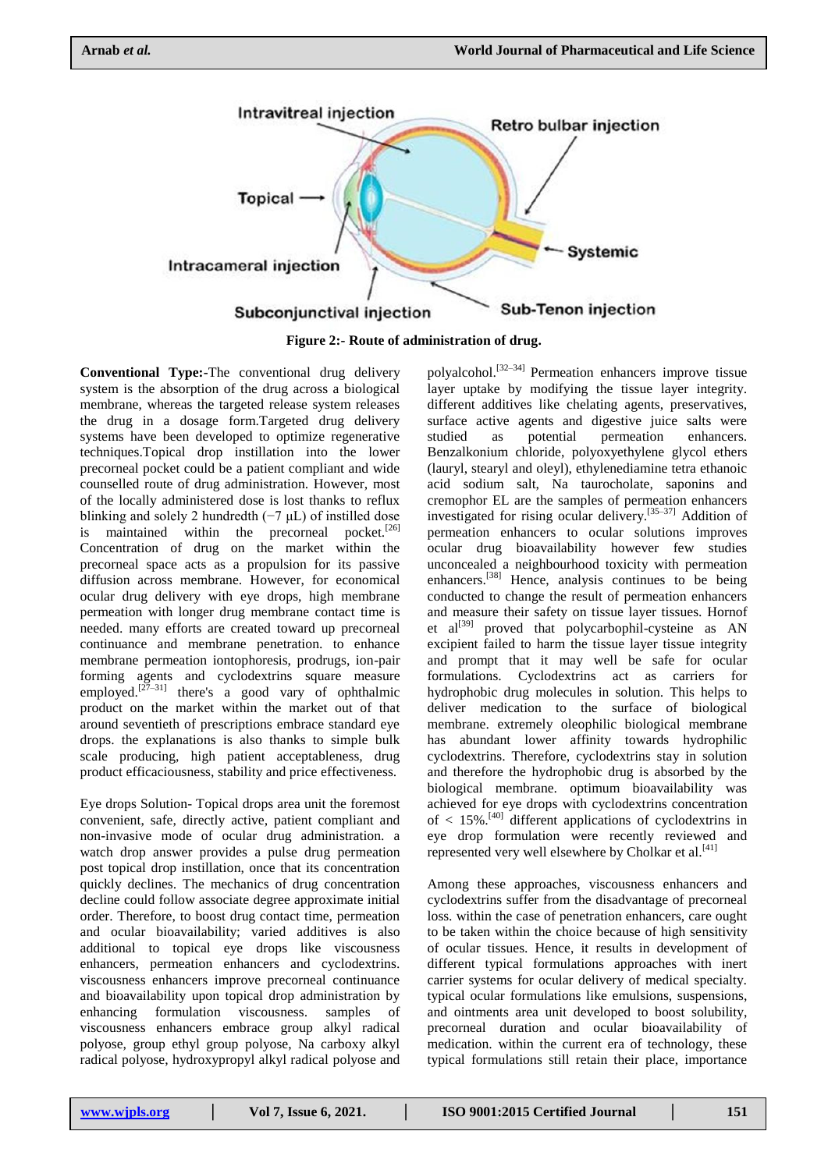

**Figure 2:- Route of administration of drug.**

**Conventional Type:-**The conventional drug delivery system is the absorption of the drug across a biological membrane, whereas the targeted release system releases the drug in a dosage form.Targeted drug delivery systems have been developed to optimize regenerative techniques.Topical drop instillation into the lower precorneal pocket could be a patient compliant and wide counselled route of drug administration. However, most of the locally administered dose is lost thanks to reflux blinking and solely 2 hundredth  $(-7 \mu L)$  of instilled dose is maintained within the precorneal pocket.<sup>[26]</sup> Concentration of drug on the market within the precorneal space acts as a propulsion for its passive diffusion across membrane. However, for economical ocular drug delivery with eye drops, high membrane permeation with longer drug membrane contact time is needed. many efforts are created toward up precorneal continuance and membrane penetration. to enhance membrane permeation iontophoresis, prodrugs, ion-pair forming agents and cyclodextrins square measure employed.<sup>[27–31]</sup> there's a good vary of ophthalmic product on the market within the market out of that around seventieth of prescriptions embrace standard eye drops. the explanations is also thanks to simple bulk scale producing, high patient acceptableness, drug product efficaciousness, stability and price effectiveness.

Eye drops Solution- Topical drops area unit the foremost convenient, safe, directly active, patient compliant and non-invasive mode of ocular drug administration. a watch drop answer provides a pulse drug permeation post topical drop instillation, once that its concentration quickly declines. The mechanics of drug concentration decline could follow associate degree approximate initial order. Therefore, to boost drug contact time, permeation and ocular bioavailability; varied additives is also additional to topical eye drops like viscousness enhancers, permeation enhancers and cyclodextrins. viscousness enhancers improve precorneal continuance and bioavailability upon topical drop administration by enhancing formulation viscousness. samples of viscousness enhancers embrace group alkyl radical polyose, group ethyl group polyose, Na carboxy alkyl radical polyose, hydroxypropyl alkyl radical polyose and

polyalcohol.[32–34] Permeation enhancers improve tissue layer uptake by modifying the tissue layer integrity. different additives like chelating agents, preservatives, surface active agents and digestive juice salts were studied as potential permeation enhancers. Benzalkonium chloride, polyoxyethylene glycol ethers (lauryl, stearyl and oleyl), ethylenediamine tetra ethanoic acid sodium salt, Na taurocholate, saponins and cremophor EL are the samples of permeation enhancers investigated for rising ocular delivery.[35–37] Addition of permeation enhancers to ocular solutions improves ocular drug bioavailability however few studies unconcealed a neighbourhood toxicity with permeation enhancers.<sup>[38]</sup> Hence, analysis continues to be being conducted to change the result of permeation enhancers and measure their safety on tissue layer tissues. Hornof et  $al^{[39]}$  proved that polycarbophil-cysteine as AN excipient failed to harm the tissue layer tissue integrity and prompt that it may well be safe for ocular formulations. Cyclodextrins act as carriers for hydrophobic drug molecules in solution. This helps to deliver medication to the surface of biological membrane. extremely oleophilic biological membrane has abundant lower affinity towards hydrophilic cyclodextrins. Therefore, cyclodextrins stay in solution and therefore the hydrophobic drug is absorbed by the biological membrane. optimum bioavailability was achieved for eye drops with cyclodextrins concentration of  $\langle 15\% \rangle$ <sup>[40]</sup> different applications of cyclodextrins in eye drop formulation were recently reviewed and represented very well elsewhere by Cholkar et al.<sup>[41]</sup>

Among these approaches, viscousness enhancers and cyclodextrins suffer from the disadvantage of precorneal loss. within the case of penetration enhancers, care ought to be taken within the choice because of high sensitivity of ocular tissues. Hence, it results in development of different typical formulations approaches with inert carrier systems for ocular delivery of medical specialty. typical ocular formulations like emulsions, suspensions, and ointments area unit developed to boost solubility, precorneal duration and ocular bioavailability of medication. within the current era of technology, these typical formulations still retain their place, importance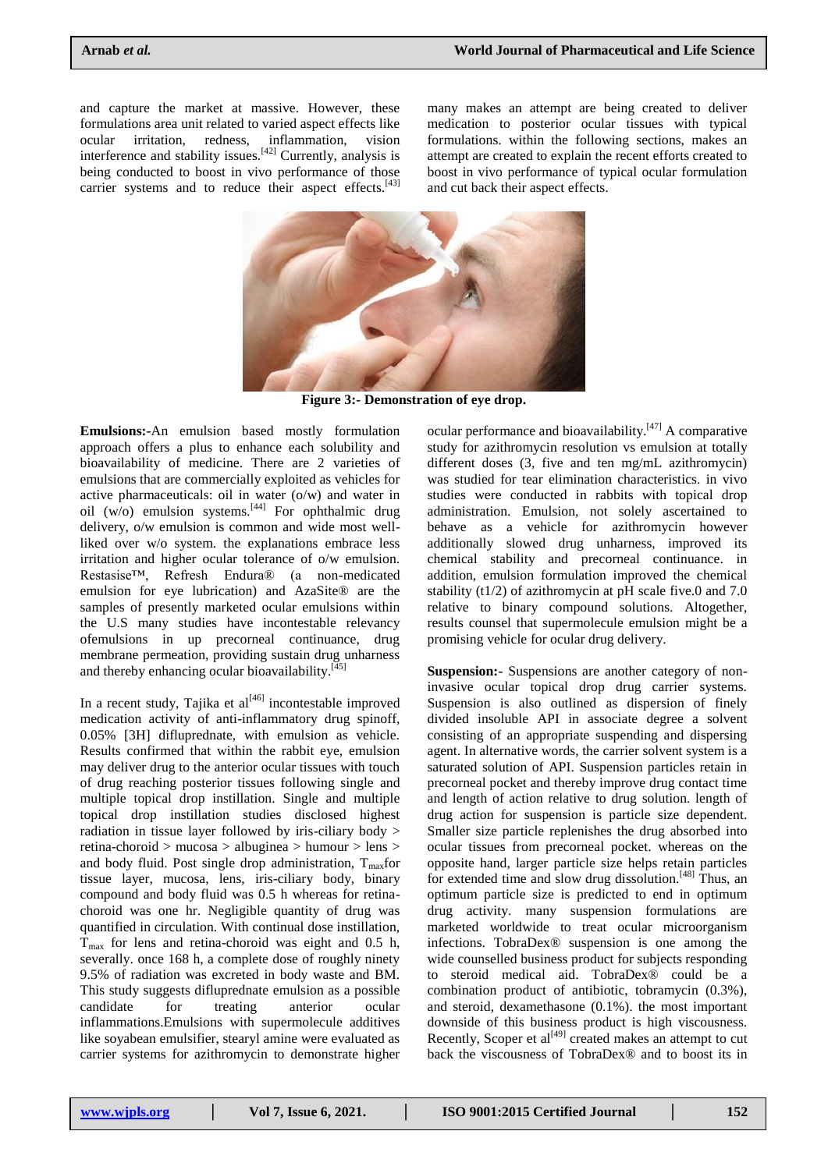and capture the market at massive. However, these formulations area unit related to varied aspect effects like ocular irritation, redness, inflammation, vision interference and stability issues.<sup>[42]</sup> Currently, analysis is being conducted to boost in vivo performance of those carrier systems and to reduce their aspect effects.<sup>[43]</sup>

many makes an attempt are being created to deliver medication to posterior ocular tissues with typical formulations. within the following sections, makes an attempt are created to explain the recent efforts created to boost in vivo performance of typical ocular formulation and cut back their aspect effects.



**Figure 3:- Demonstration of eye drop.**

**Emulsions:-**An emulsion based mostly formulation approach offers a plus to enhance each solubility and bioavailability of medicine. There are 2 varieties of emulsions that are commercially exploited as vehicles for active pharmaceuticals: oil in water (o/w) and water in oil  $(w/o)$  emulsion systems.<sup>[44]</sup> For ophthalmic drug delivery, o/w emulsion is common and wide most wellliked over w/o system. the explanations embrace less irritation and higher ocular tolerance of o/w emulsion. Restasise™, Refresh Endura® (a non-medicated emulsion for eye lubrication) and AzaSite® are the samples of presently marketed ocular emulsions within the U.S many studies have incontestable relevancy ofemulsions in up precorneal continuance, drug membrane permeation, providing sustain drug unharness and thereby enhancing ocular bioavailability.<sup>[45]</sup>

In a recent study, Tajika et  $al^{[46]}$  incontestable improved medication activity of anti-inflammatory drug spinoff, 0.05% [3H] difluprednate, with emulsion as vehicle. Results confirmed that within the rabbit eye, emulsion may deliver drug to the anterior ocular tissues with touch of drug reaching posterior tissues following single and multiple topical drop instillation. Single and multiple topical drop instillation studies disclosed highest radiation in tissue layer followed by iris-ciliary body > retina-choroid > mucosa > albuginea > humour > lens > and body fluid. Post single drop administration,  $T_{\text{max}}$ for tissue layer, mucosa, lens, iris-ciliary body, binary compound and body fluid was 0.5 h whereas for retinachoroid was one hr. Negligible quantity of drug was quantified in circulation. With continual dose instillation,  $T_{\text{max}}$  for lens and retina-choroid was eight and 0.5 h, severally. once 168 h, a complete dose of roughly ninety 9.5% of radiation was excreted in body waste and BM. This study suggests difluprednate emulsion as a possible candidate for treating anterior ocular inflammations.Emulsions with supermolecule additives like soyabean emulsifier, stearyl amine were evaluated as carrier systems for azithromycin to demonstrate higher

ocular performance and bioavailability. $[47]$  A comparative study for azithromycin resolution vs emulsion at totally different doses (3, five and ten mg/mL azithromycin) was studied for tear elimination characteristics. in vivo studies were conducted in rabbits with topical drop administration. Emulsion, not solely ascertained to behave as a vehicle for azithromycin however additionally slowed drug unharness, improved its chemical stability and precorneal continuance. in addition, emulsion formulation improved the chemical stability (t1/2) of azithromycin at  $pH$  scale five.0 and 7.0 relative to binary compound solutions. Altogether, results counsel that supermolecule emulsion might be a promising vehicle for ocular drug delivery.

**Suspension:-** Suspensions are another category of noninvasive ocular topical drop drug carrier systems. Suspension is also outlined as dispersion of finely divided insoluble API in associate degree a solvent consisting of an appropriate suspending and dispersing agent. In alternative words, the carrier solvent system is a saturated solution of API. Suspension particles retain in precorneal pocket and thereby improve drug contact time and length of action relative to drug solution. length of drug action for suspension is particle size dependent. Smaller size particle replenishes the drug absorbed into ocular tissues from precorneal pocket. whereas on the opposite hand, larger particle size helps retain particles for extended time and slow drug dissolution.[48] Thus, an optimum particle size is predicted to end in optimum drug activity. many suspension formulations are marketed worldwide to treat ocular microorganism infections. TobraDex® suspension is one among the wide counselled business product for subjects responding to steroid medical aid. TobraDex® could be a combination product of antibiotic, tobramycin (0.3%), and steroid, dexamethasone (0.1%). the most important downside of this business product is high viscousness. Recently, Scoper et  $al^{[49]}$  created makes an attempt to cut back the viscousness of TobraDex® and to boost its in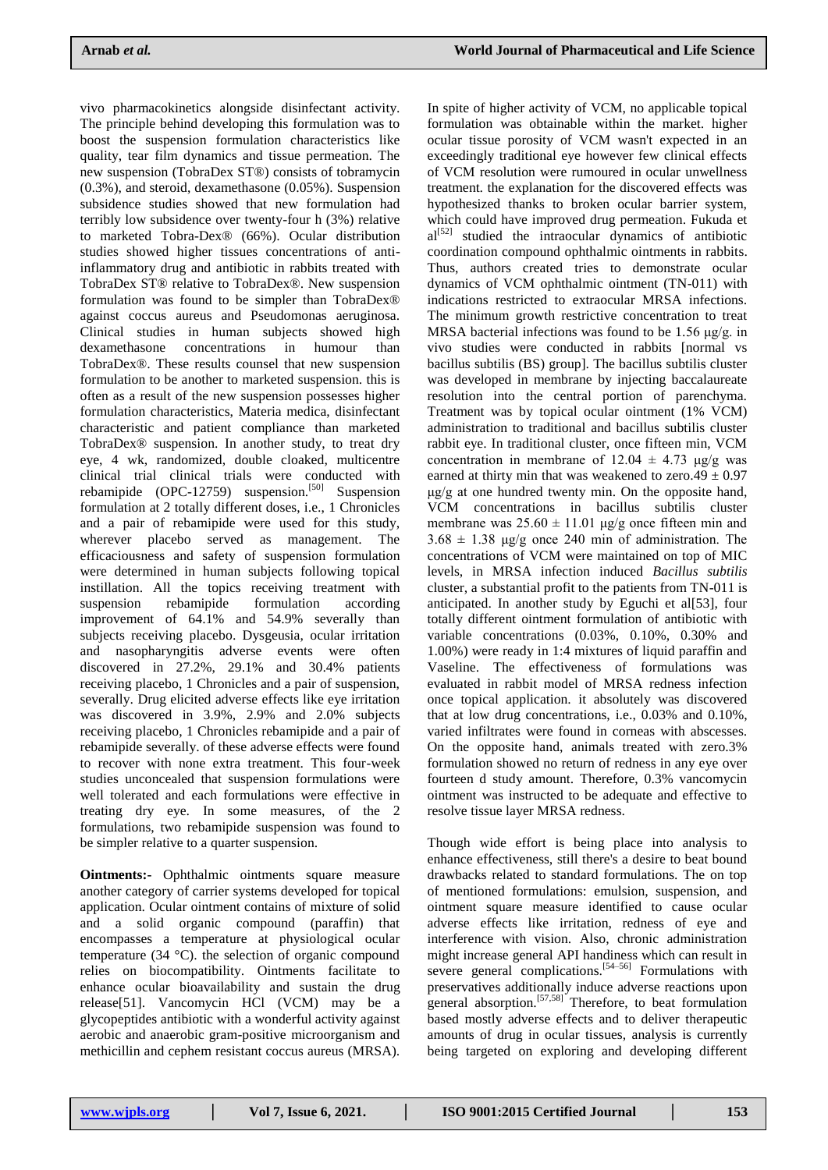vivo pharmacokinetics alongside disinfectant activity. The principle behind developing this formulation was to boost the suspension formulation characteristics like quality, tear film dynamics and tissue permeation. The new suspension (TobraDex ST®) consists of tobramycin (0.3%), and steroid, dexamethasone (0.05%). Suspension subsidence studies showed that new formulation had terribly low subsidence over twenty-four h (3%) relative to marketed Tobra-Dex® (66%). Ocular distribution studies showed higher tissues concentrations of antiinflammatory drug and antibiotic in rabbits treated with TobraDex ST® relative to TobraDex®. New suspension formulation was found to be simpler than TobraDex® against coccus aureus and Pseudomonas aeruginosa. Clinical studies in human subjects showed high dexamethasone concentrations in humour than TobraDex®. These results counsel that new suspension formulation to be another to marketed suspension. this is often as a result of the new suspension possesses higher formulation characteristics, Materia medica, disinfectant characteristic and patient compliance than marketed TobraDex® suspension. In another study, to treat dry eye, 4 wk, randomized, double cloaked, multicentre clinical trial clinical trials were conducted with rebamipide  $(OPC-12759)$  suspension.<sup>[50]</sup> Suspension formulation at 2 totally different doses, i.e., 1 Chronicles and a pair of rebamipide were used for this study, wherever placebo served as management. The efficaciousness and safety of suspension formulation were determined in human subjects following topical instillation. All the topics receiving treatment with suspension rebamipide formulation according improvement of 64.1% and 54.9% severally than subjects receiving placebo. Dysgeusia, ocular irritation and nasopharyngitis adverse events were often discovered in 27.2%, 29.1% and 30.4% patients receiving placebo, 1 Chronicles and a pair of suspension, severally. Drug elicited adverse effects like eye irritation was discovered in 3.9%, 2.9% and 2.0% subjects receiving placebo, 1 Chronicles rebamipide and a pair of rebamipide severally. of these adverse effects were found to recover with none extra treatment. This four-week studies unconcealed that suspension formulations were well tolerated and each formulations were effective in treating dry eye. In some measures, of the 2 formulations, two rebamipide suspension was found to be simpler relative to a quarter suspension.

**Ointments:-** Ophthalmic ointments square measure another category of carrier systems developed for topical application. Ocular ointment contains of mixture of solid and a solid organic compound (paraffin) that encompasses a temperature at physiological ocular temperature (34 °C). the selection of organic compound relies on biocompatibility. Ointments facilitate to enhance ocular bioavailability and sustain the drug release[51]. Vancomycin HCl (VCM) may be a glycopeptides antibiotic with a wonderful activity against aerobic and anaerobic gram-positive microorganism and methicillin and cephem resistant coccus aureus (MRSA).

In spite of higher activity of VCM, no applicable topical formulation was obtainable within the market. higher ocular tissue porosity of VCM wasn't expected in an exceedingly traditional eye however few clinical effects of VCM resolution were rumoured in ocular unwellness treatment. the explanation for the discovered effects was hypothesized thanks to broken ocular barrier system, which could have improved drug permeation. Fukuda et  $al^{[52]}$  studied the intraocular dynamics of antibiotic coordination compound ophthalmic ointments in rabbits. Thus, authors created tries to demonstrate ocular dynamics of VCM ophthalmic ointment (TN-011) with indications restricted to extraocular MRSA infections. The minimum growth restrictive concentration to treat MRSA bacterial infections was found to be 1.56 μg/g. in vivo studies were conducted in rabbits [normal vs bacillus subtilis (BS) group]. The bacillus subtilis cluster was developed in membrane by injecting baccalaureate resolution into the central portion of parenchyma. Treatment was by topical ocular ointment (1% VCM) administration to traditional and bacillus subtilis cluster rabbit eye. In traditional cluster, once fifteen min, VCM concentration in membrane of  $12.04 \pm 4.73$  μg/g was earned at thirty min that was weakened to zero. $49 \pm 0.97$ μg/g at one hundred twenty min. On the opposite hand, VCM concentrations in bacillus subtilis cluster membrane was  $25.60 \pm 11.01$  μg/g once fifteen min and  $3.68 \pm 1.38$  μg/g once 240 min of administration. The concentrations of VCM were maintained on top of MIC levels, in MRSA infection induced *Bacillus subtilis* cluster, a substantial profit to the patients from TN-011 is anticipated. In another study by Eguchi et al[53], four totally different ointment formulation of antibiotic with variable concentrations (0.03%, 0.10%, 0.30% and 1.00%) were ready in 1:4 mixtures of liquid paraffin and Vaseline. The effectiveness of formulations was evaluated in rabbit model of MRSA redness infection once topical application. it absolutely was discovered that at low drug concentrations, i.e., 0.03% and 0.10%, varied infiltrates were found in corneas with abscesses. On the opposite hand, animals treated with zero.3% formulation showed no return of redness in any eye over fourteen d study amount. Therefore, 0.3% vancomycin ointment was instructed to be adequate and effective to resolve tissue layer MRSA redness.

Though wide effort is being place into analysis to enhance effectiveness, still there's a desire to beat bound drawbacks related to standard formulations. The on top of mentioned formulations: emulsion, suspension, and ointment square measure identified to cause ocular adverse effects like irritation, redness of eye and interference with vision. Also, chronic administration might increase general API handiness which can result in severe general complications.<sup>[54–56]</sup> Formulations with preservatives additionally induce adverse reactions upon general absorption.<sup>[57,58]</sup> Therefore, to beat formulation based mostly adverse effects and to deliver therapeutic amounts of drug in ocular tissues, analysis is currently being targeted on exploring and developing different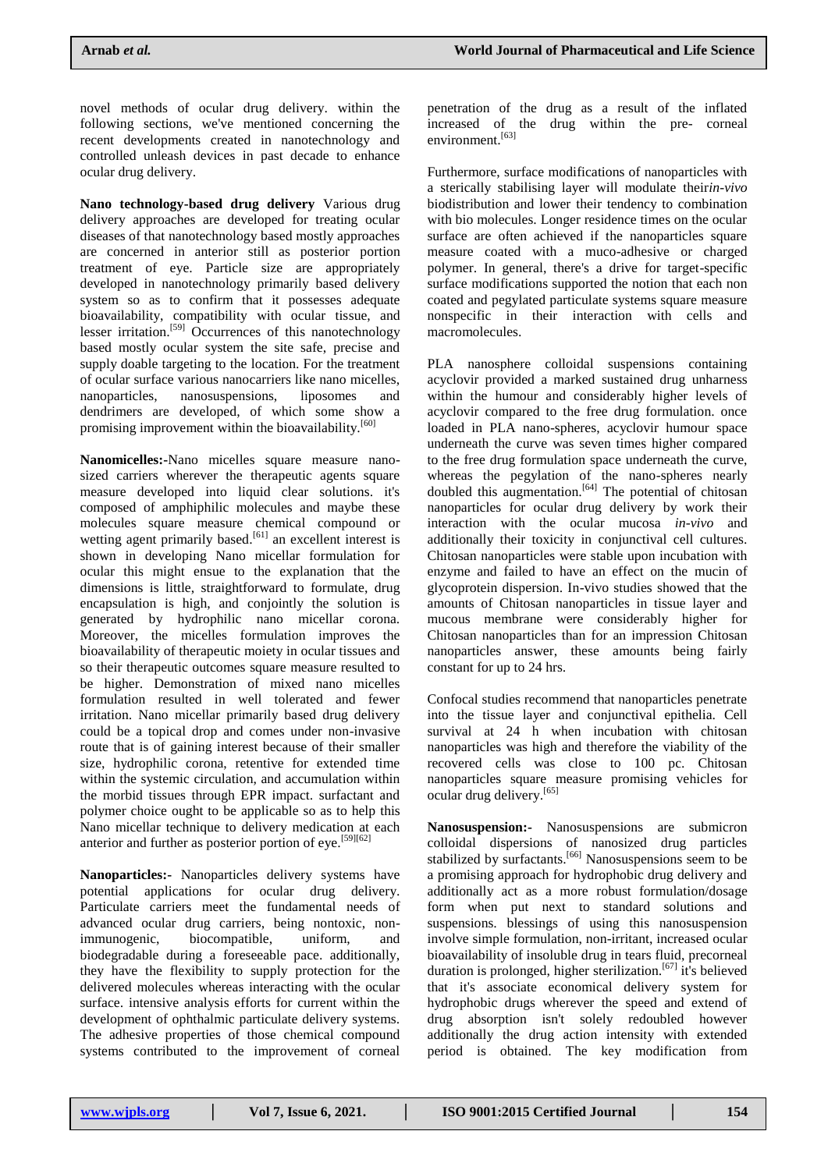novel methods of ocular drug delivery. within the following sections, we've mentioned concerning the recent developments created in nanotechnology and controlled unleash devices in past decade to enhance ocular drug delivery.

**Nano technology-based drug delivery** Various drug delivery approaches are developed for treating ocular diseases of that nanotechnology based mostly approaches are concerned in anterior still as posterior portion treatment of eye. Particle size are appropriately developed in nanotechnology primarily based delivery system so as to confirm that it possesses adequate bioavailability, compatibility with ocular tissue, and lesser irritation.<sup>[59]</sup> Occurrences of this nanotechnology based mostly ocular system the site safe, precise and supply doable targeting to the location. For the treatment of ocular surface various nanocarriers like nano micelles, nanoparticles, nanosuspensions, liposomes and dendrimers are developed, of which some show a promising improvement within the bioavailability.<sup>[60]</sup>

**Nanomicelles:-**Nano micelles square measure nanosized carriers wherever the therapeutic agents square measure developed into liquid clear solutions. it's composed of amphiphilic molecules and maybe these molecules square measure chemical compound or wetting agent primarily based.<sup>[61]</sup> an excellent interest is shown in developing Nano micellar formulation for ocular this might ensue to the explanation that the dimensions is little, straightforward to formulate, drug encapsulation is high, and conjointly the solution is generated by hydrophilic nano micellar corona. Moreover, the micelles formulation improves the bioavailability of therapeutic moiety in ocular tissues and so their therapeutic outcomes square measure resulted to be higher. Demonstration of mixed nano micelles formulation resulted in well tolerated and fewer irritation. Nano micellar primarily based drug delivery could be a topical drop and comes under non-invasive route that is of gaining interest because of their smaller size, hydrophilic corona, retentive for extended time within the systemic circulation, and accumulation within the morbid tissues through EPR impact. surfactant and polymer choice ought to be applicable so as to help this Nano micellar technique to delivery medication at each anterior and further as posterior portion of eye.<sup>[59][62]</sup>

**Nanoparticles:-** Nanoparticles delivery systems have potential applications for ocular drug delivery. Particulate carriers meet the fundamental needs of advanced ocular drug carriers, being nontoxic, nonimmunogenic, biocompatible, uniform, and biodegradable during a foreseeable pace. additionally, they have the flexibility to supply protection for the delivered molecules whereas interacting with the ocular surface. intensive analysis efforts for current within the development of ophthalmic particulate delivery systems. The adhesive properties of those chemical compound systems contributed to the improvement of corneal

penetration of the drug as a result of the inflated increased of the drug within the pre- corneal environment.<sup>[63]</sup>

Furthermore, surface modifications of nanoparticles with a sterically stabilising layer will modulate their*in-vivo* biodistribution and lower their tendency to combination with bio molecules. Longer residence times on the ocular surface are often achieved if the nanoparticles square measure coated with a muco-adhesive or charged polymer. In general, there's a drive for target-specific surface modifications supported the notion that each non coated and pegylated particulate systems square measure nonspecific in their interaction with cells and macromolecules.

PLA nanosphere colloidal suspensions containing acyclovir provided a marked sustained drug unharness within the humour and considerably higher levels of acyclovir compared to the free drug formulation. once loaded in PLA nano-spheres, acyclovir humour space underneath the curve was seven times higher compared to the free drug formulation space underneath the curve, whereas the pegylation of the nano-spheres nearly doubled this augmentation. $[64]$  The potential of chitosan nanoparticles for ocular drug delivery by work their interaction with the ocular mucosa *in-vivo* and additionally their toxicity in conjunctival cell cultures. Chitosan nanoparticles were stable upon incubation with enzyme and failed to have an effect on the mucin of glycoprotein dispersion. In-vivo studies showed that the amounts of Chitosan nanoparticles in tissue layer and mucous membrane were considerably higher for Chitosan nanoparticles than for an impression Chitosan nanoparticles answer, these amounts being fairly constant for up to 24 hrs.

Confocal studies recommend that nanoparticles penetrate into the tissue layer and conjunctival epithelia. Cell survival at 24 h when incubation with chitosan nanoparticles was high and therefore the viability of the recovered cells was close to 100 pc. Chitosan nanoparticles square measure promising vehicles for ocular drug delivery.[65]

**Nanosuspension:-** Nanosuspensions are submicron colloidal dispersions of nanosized drug particles stabilized by surfactants.<sup>[66]</sup> Nanosuspensions seem to be a promising approach for hydrophobic drug delivery and additionally act as a more robust formulation/dosage form when put next to standard solutions and suspensions. blessings of using this nanosuspension involve simple formulation, non-irritant, increased ocular bioavailability of insoluble drug in tears fluid, precorneal duration is prolonged, higher sterilization.<sup>[67]</sup> it's believed that it's associate economical delivery system for hydrophobic drugs wherever the speed and extend of drug absorption isn't solely redoubled however additionally the drug action intensity with extended period is obtained. The key modification from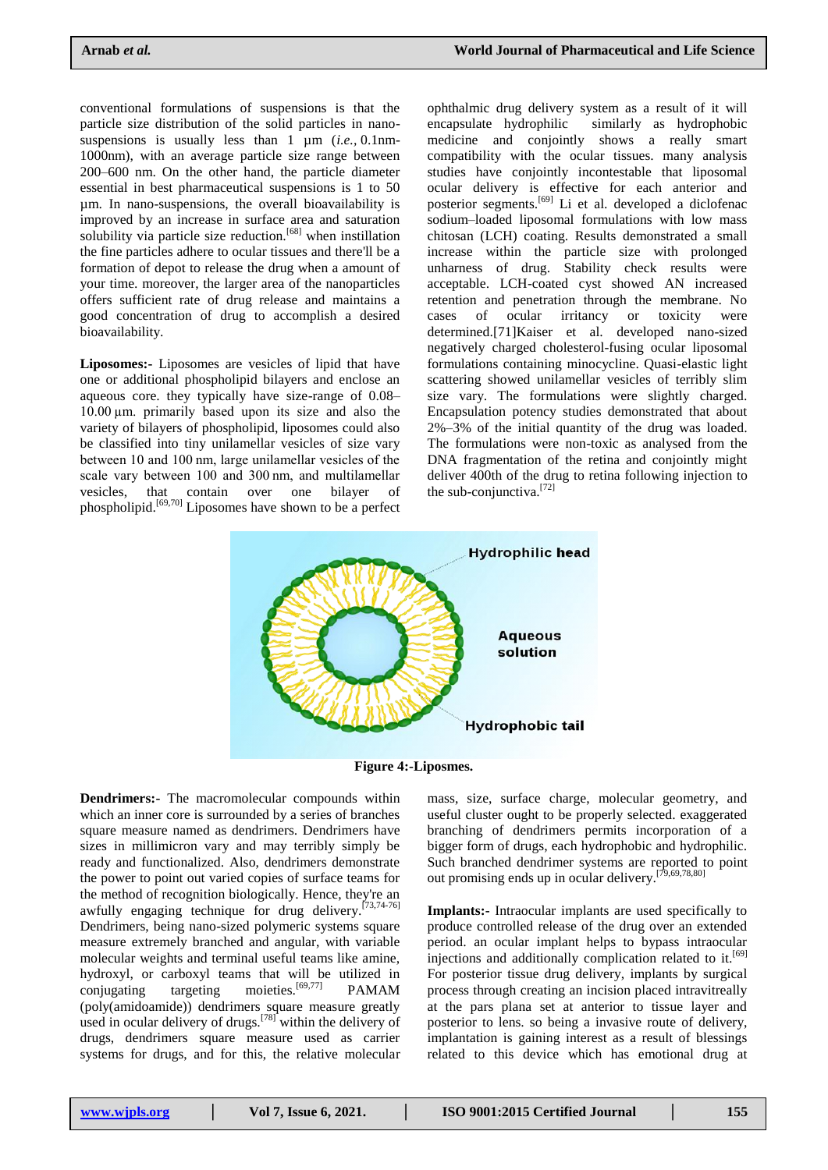conventional formulations of suspensions is that the particle size distribution of the solid particles in nanosuspensions is usually less than 1 µm (*i.e.,* 0.1nm-1000nm), with an average particle size range between 200–600 nm. On the other hand, the particle diameter essential in best pharmaceutical suspensions is 1 to 50 µm. In nano-suspensions, the overall bioavailability is improved by an increase in surface area and saturation solubility via particle size reduction.<sup>[68]</sup> when instillation the fine particles adhere to ocular tissues and there'll be a formation of depot to release the drug when a amount of your time. moreover, the larger area of the nanoparticles offers sufficient rate of drug release and maintains a good concentration of drug to accomplish a desired bioavailability.

**Liposomes:-** Liposomes are vesicles of lipid that have one or additional phospholipid bilayers and enclose an aqueous core. they typically have size-range of 0.08– 10.00 µm. primarily based upon its size and also the variety of bilayers of phospholipid, liposomes could also be classified into tiny unilamellar vesicles of size vary between 10 and 100 nm, large unilamellar vesicles of the scale vary between 100 and 300 nm, and multilamellar vesicles, that contain over one bilayer of phospholipid.[69,70] Liposomes have shown to be a perfect

ophthalmic drug delivery system as a result of it will encapsulate hydrophilic similarly as hydrophobic medicine and conjointly shows a really smart compatibility with the ocular tissues. many analysis studies have conjointly incontestable that liposomal ocular delivery is effective for each anterior and posterior segments.[69] Li et al. developed a diclofenac sodium–loaded liposomal formulations with low mass chitosan (LCH) coating. Results demonstrated a small increase within the particle size with prolonged unharness of drug. Stability check results were acceptable. LCH-coated cyst showed AN increased retention and penetration through the membrane. No cases of ocular irritancy or toxicity were determined.[71]Kaiser et al. developed nano-sized negatively charged cholesterol-fusing ocular liposomal formulations containing minocycline. Quasi-elastic light scattering showed unilamellar vesicles of terribly slim size vary. The formulations were slightly charged. Encapsulation potency studies demonstrated that about 2%–3% of the initial quantity of the drug was loaded. The formulations were non-toxic as analysed from the DNA fragmentation of the retina and conjointly might deliver 400th of the drug to retina following injection to the sub-conjunctiva.[72]



**Figure 4:-Liposmes.**

**Dendrimers:-** The macromolecular compounds within which an inner core is surrounded by a series of branches square measure named as dendrimers. Dendrimers have sizes in millimicron vary and may terribly simply be ready and functionalized. Also, dendrimers demonstrate the power to point out varied copies of surface teams for the method of recognition biologically. Hence, they're an awfully engaging technique for drug delivery.[73,74-76] Dendrimers, being nano-sized polymeric systems square measure extremely branched and angular, with variable molecular weights and terminal useful teams like amine, hydroxyl, or carboxyl teams that will be utilized in conjugating targeting moieties.<sup>[69,77]</sup> PAMAM (poly(amidoamide)) dendrimers square measure greatly used in ocular delivery of drugs.<sup>[78]</sup> within the delivery of drugs, dendrimers square measure used as carrier systems for drugs, and for this, the relative molecular

mass, size, surface charge, molecular geometry, and useful cluster ought to be properly selected. exaggerated branching of dendrimers permits incorporation of a bigger form of drugs, each hydrophobic and hydrophilic. Such branched dendrimer systems are reported to point out promising ends up in ocular delivery.[79,69,78,80]

**Implants:-** Intraocular implants are used specifically to produce controlled release of the drug over an extended period. an ocular implant helps to bypass intraocular injections and additionally complication related to it.<sup>[69]</sup> For posterior tissue drug delivery, implants by surgical process through creating an incision placed intravitreally at the pars plana set at anterior to tissue layer and posterior to lens. so being a invasive route of delivery, implantation is gaining interest as a result of blessings related to this device which has emotional drug at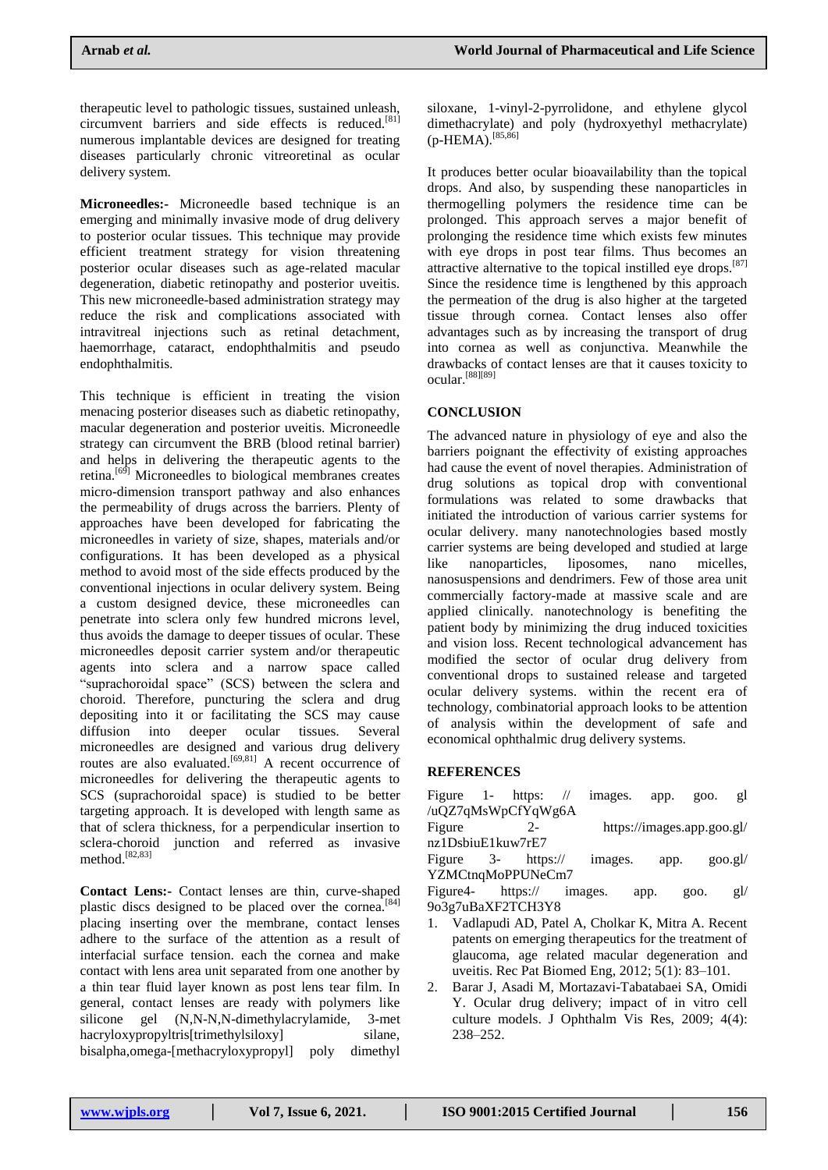therapeutic level to pathologic tissues, sustained unleash, circumvent barriers and side effects is reduced.[81] numerous implantable devices are designed for treating diseases particularly chronic vitreoretinal as ocular delivery system.

**Microneedles:-** Microneedle based technique is an emerging and minimally invasive mode of drug delivery to posterior ocular tissues. This technique may provide efficient treatment strategy for vision threatening posterior ocular diseases such as age-related macular degeneration, diabetic retinopathy and posterior uveitis. This new microneedle-based administration strategy may reduce the risk and complications associated with intravitreal injections such as retinal detachment, haemorrhage, cataract, endophthalmitis and pseudo endophthalmitis.

This technique is efficient in treating the vision menacing posterior diseases such as diabetic retinopathy, macular degeneration and posterior uveitis. Microneedle strategy can circumvent the BRB (blood retinal barrier) and helps in delivering the therapeutic agents to the retina.[69] Microneedles to biological membranes creates micro-dimension transport pathway and also enhances the permeability of drugs across the barriers. Plenty of approaches have been developed for fabricating the microneedles in variety of size, shapes, materials and/or configurations. It has been developed as a physical method to avoid most of the side effects produced by the conventional injections in ocular delivery system. Being a custom designed device, these microneedles can penetrate into sclera only few hundred microns level, thus avoids the damage to deeper tissues of ocular. These microneedles deposit carrier system and/or therapeutic agents into sclera and a narrow space called "suprachoroidal space" (SCS) between the sclera and choroid. Therefore, puncturing the sclera and drug depositing into it or facilitating the SCS may cause diffusion into deeper ocular tissues. Several microneedles are designed and various drug delivery routes are also evaluated.<sup>[69,81]</sup> A recent occurrence of microneedles for delivering the therapeutic agents to SCS (suprachoroidal space) is studied to be better targeting approach. It is developed with length same as that of sclera thickness, for a perpendicular insertion to sclera-choroid junction and referred as invasive method.[82,83]

**Contact Lens:-** Contact lenses are thin, curve-shaped plastic discs designed to be placed over the cornea.<sup>[84]</sup> placing inserting over the membrane, contact lenses adhere to the surface of the attention as a result of interfacial surface tension. each the cornea and make contact with lens area unit separated from one another by a thin tear fluid layer known as post lens tear film. In general, contact lenses are ready with polymers like silicone gel (N,N-N,N-dimethylacrylamide, 3-met hacryloxypropyltris[trimethylsiloxy] silane, bisalpha,omega-[methacryloxypropyl] poly dimethyl

siloxane, 1-vinyl-2-pyrrolidone, and ethylene glycol dimethacrylate) and poly (hydroxyethyl methacrylate) (p-HEMA).<sup>[85,86]</sup>

It produces better ocular bioavailability than the topical drops. And also, by suspending these nanoparticles in thermogelling polymers the residence time can be prolonged. This approach serves a major benefit of prolonging the residence time which exists few minutes with eye drops in post tear films. Thus becomes an attractive alternative to the topical instilled eye drops.[87] Since the residence time is lengthened by this approach the permeation of the drug is also higher at the targeted tissue through cornea. Contact lenses also offer advantages such as by increasing the transport of drug into cornea as well as conjunctiva. Meanwhile the drawbacks of contact lenses are that it causes toxicity to ocular.[88][89]

# **CONCLUSION**

The advanced nature in physiology of eye and also the barriers poignant the effectivity of existing approaches had cause the event of novel therapies. Administration of drug solutions as topical drop with conventional formulations was related to some drawbacks that initiated the introduction of various carrier systems for ocular delivery. many nanotechnologies based mostly carrier systems are being developed and studied at large like nanoparticles, liposomes, nano micelles, nanosuspensions and dendrimers. Few of those area unit commercially factory-made at massive scale and are applied clinically. nanotechnology is benefiting the patient body by minimizing the drug induced toxicities and vision loss. Recent technological advancement has modified the sector of ocular drug delivery from conventional drops to sustained release and targeted ocular delivery systems. within the recent era of technology, combinatorial approach looks to be attention of analysis within the development of safe and economical ophthalmic drug delivery systems.

# **REFERENCES**

|  |                    | Figure 1- https: $\frac{\pi}{2}$ images. | app. goo. gl |  |
|--|--------------------|------------------------------------------|--------------|--|
|  | /uQZ7qMsWpCfYqWg6A |                                          |              |  |

Figure 2- https://images.app.goo.gl/

nz1DsbiuE1kuw7rE7 Figure 3- https:// images. app. goo.gl/ YZMCtnaMoPPUNeCm7

Figure4- https:// images. app. goo. gl/ 9o3g7uBaXF2TCH3Y8

- 1. Vadlapudi AD, Patel A, Cholkar K, Mitra A. Recent patents on emerging therapeutics for the treatment of glaucoma, age related macular degeneration and uveitis. Rec Pat Biomed Eng, 2012; 5(1): 83–101.
- 2. Barar J, Asadi M, Mortazavi-Tabatabaei SA, Omidi Y. Ocular drug delivery; impact of in vitro cell culture models. J Ophthalm Vis Res, 2009; 4(4): 238–252.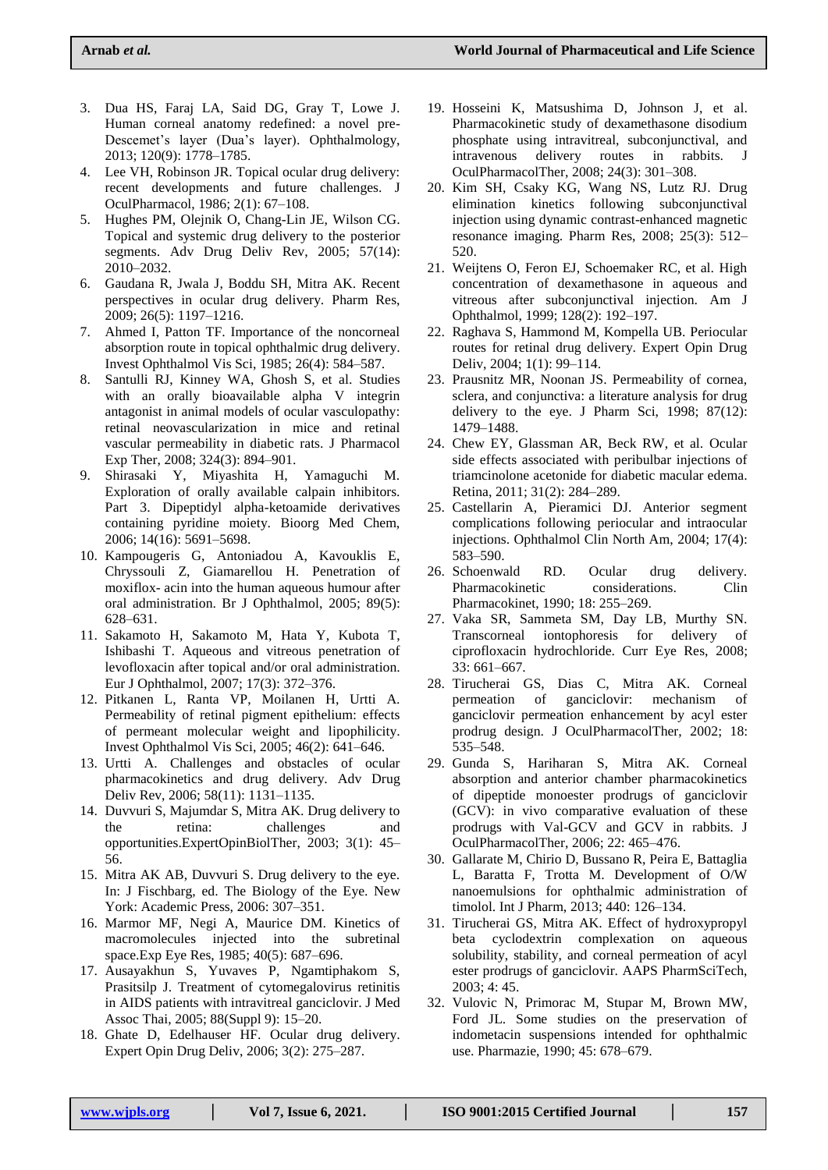- 3. Dua HS, Faraj LA, Said DG, Gray T, Lowe J. Human corneal anatomy redefined: a novel pre-Descemet's layer (Dua's layer). Ophthalmology, 2013; 120(9): 1778–1785.
- 4. Lee VH, Robinson JR. Topical ocular drug delivery: recent developments and future challenges. J OculPharmacol, 1986; 2(1): 67–108.
- 5. Hughes PM, Olejnik O, Chang-Lin JE, Wilson CG. Topical and systemic drug delivery to the posterior segments. Adv Drug Deliv Rev, 2005; 57(14): 2010–2032.
- 6. Gaudana R, Jwala J, Boddu SH, Mitra AK. Recent perspectives in ocular drug delivery. Pharm Res, 2009; 26(5): 1197–1216.
- 7. Ahmed I, Patton TF. Importance of the noncorneal absorption route in topical ophthalmic drug delivery. Invest Ophthalmol Vis Sci, 1985; 26(4): 584–587.
- 8. Santulli RJ, Kinney WA, Ghosh S, et al. Studies with an orally bioavailable alpha V integrin antagonist in animal models of ocular vasculopathy: retinal neovascularization in mice and retinal vascular permeability in diabetic rats. J Pharmacol Exp Ther, 2008; 324(3): 894–901.
- 9. Shirasaki Y, Miyashita H, Yamaguchi M. Exploration of orally available calpain inhibitors. Part 3. Dipeptidyl alpha-ketoamide derivatives containing pyridine moiety. Bioorg Med Chem, 2006; 14(16): 5691–5698.
- 10. Kampougeris G, Antoniadou A, Kavouklis E, Chryssouli Z, Giamarellou H. Penetration of moxiflox- acin into the human aqueous humour after oral administration. Br J Ophthalmol, 2005; 89(5): 628–631.
- 11. Sakamoto H, Sakamoto M, Hata Y, Kubota T, Ishibashi T. Aqueous and vitreous penetration of levofloxacin after topical and/or oral administration. Eur J Ophthalmol, 2007; 17(3): 372–376.
- 12. Pitkanen L, Ranta VP, Moilanen H, Urtti A. Permeability of retinal pigment epithelium: effects of permeant molecular weight and lipophilicity. Invest Ophthalmol Vis Sci, 2005; 46(2): 641–646.
- 13. Urtti A. Challenges and obstacles of ocular pharmacokinetics and drug delivery. Adv Drug Deliv Rev, 2006; 58(11): 1131–1135.
- 14. Duvvuri S, Majumdar S, Mitra AK. Drug delivery to the retina: challenges and opportunities.ExpertOpinBiolTher, 2003; 3(1): 45– 56.
- 15. Mitra AK AB, Duvvuri S. Drug delivery to the eye. In: J Fischbarg, ed. The Biology of the Eye. New York: Academic Press, 2006: 307–351.
- 16. Marmor MF, Negi A, Maurice DM. Kinetics of macromolecules injected into the subretinal space.Exp Eye Res, 1985; 40(5): 687–696.
- 17. Ausayakhun S, Yuvaves P, Ngamtiphakom S, Prasitsilp J. Treatment of cytomegalovirus retinitis in AIDS patients with intravitreal ganciclovir. J Med Assoc Thai, 2005; 88(Suppl 9): 15–20.
- 18. Ghate D, Edelhauser HF. Ocular drug delivery. Expert Opin Drug Deliv, 2006; 3(2): 275–287.
- 19. Hosseini K, Matsushima D, Johnson J, et al. Pharmacokinetic study of dexamethasone disodium phosphate using intravitreal, subconjunctival, and intravenous delivery routes in rabbits. OculPharmacolTher, 2008; 24(3): 301–308.
- 20. Kim SH, Csaky KG, Wang NS, Lutz RJ. Drug elimination kinetics following subconjunctival injection using dynamic contrast-enhanced magnetic resonance imaging. Pharm Res, 2008; 25(3): 512– 520.
- 21. Weijtens O, Feron EJ, Schoemaker RC, et al. High concentration of dexamethasone in aqueous and vitreous after subconjunctival injection. Am J Ophthalmol, 1999; 128(2): 192–197.
- 22. Raghava S, Hammond M, Kompella UB. Periocular routes for retinal drug delivery. Expert Opin Drug Deliv, 2004; 1(1): 99–114.
- 23. Prausnitz MR, Noonan JS. Permeability of cornea, sclera, and conjunctiva: a literature analysis for drug delivery to the eye. J Pharm Sci, 1998; 87(12): 1479–1488.
- 24. Chew EY, Glassman AR, Beck RW, et al. Ocular side effects associated with peribulbar injections of triamcinolone acetonide for diabetic macular edema. Retina, 2011; 31(2): 284–289.
- 25. Castellarin A, Pieramici DJ. Anterior segment complications following periocular and intraocular injections. Ophthalmol Clin North Am, 2004; 17(4): 583–590.
- 26. Schoenwald RD. Ocular drug delivery. Pharmacokinetic considerations. Clin Pharmacokinet, 1990; 18: 255–269.
- 27. Vaka SR, Sammeta SM, Day LB, Murthy SN. Transcorneal iontophoresis for delivery of ciprofloxacin hydrochloride. Curr Eye Res, 2008; 33: 661–667.
- 28. Tirucherai GS, Dias C, Mitra AK. Corneal permeation of ganciclovir: mechanism of ganciclovir permeation enhancement by acyl ester prodrug design. J OculPharmacolTher, 2002; 18: 535–548.
- 29. Gunda S, Hariharan S, Mitra AK. Corneal absorption and anterior chamber pharmacokinetics of dipeptide monoester prodrugs of ganciclovir (GCV): in vivo comparative evaluation of these prodrugs with Val-GCV and GCV in rabbits. J OculPharmacolTher, 2006; 22: 465–476.
- 30. Gallarate M, Chirio D, Bussano R, Peira E, Battaglia L, Baratta F, Trotta M. Development of O/W nanoemulsions for ophthalmic administration of timolol. Int J Pharm, 2013; 440: 126–134.
- 31. Tirucherai GS, Mitra AK. Effect of hydroxypropyl beta cyclodextrin complexation on aqueous solubility, stability, and corneal permeation of acyl ester prodrugs of ganciclovir. AAPS PharmSciTech, 2003; 4: 45.
- 32. Vulovic N, Primorac M, Stupar M, Brown MW, Ford JL. Some studies on the preservation of indometacin suspensions intended for ophthalmic use. Pharmazie, 1990; 45: 678–679.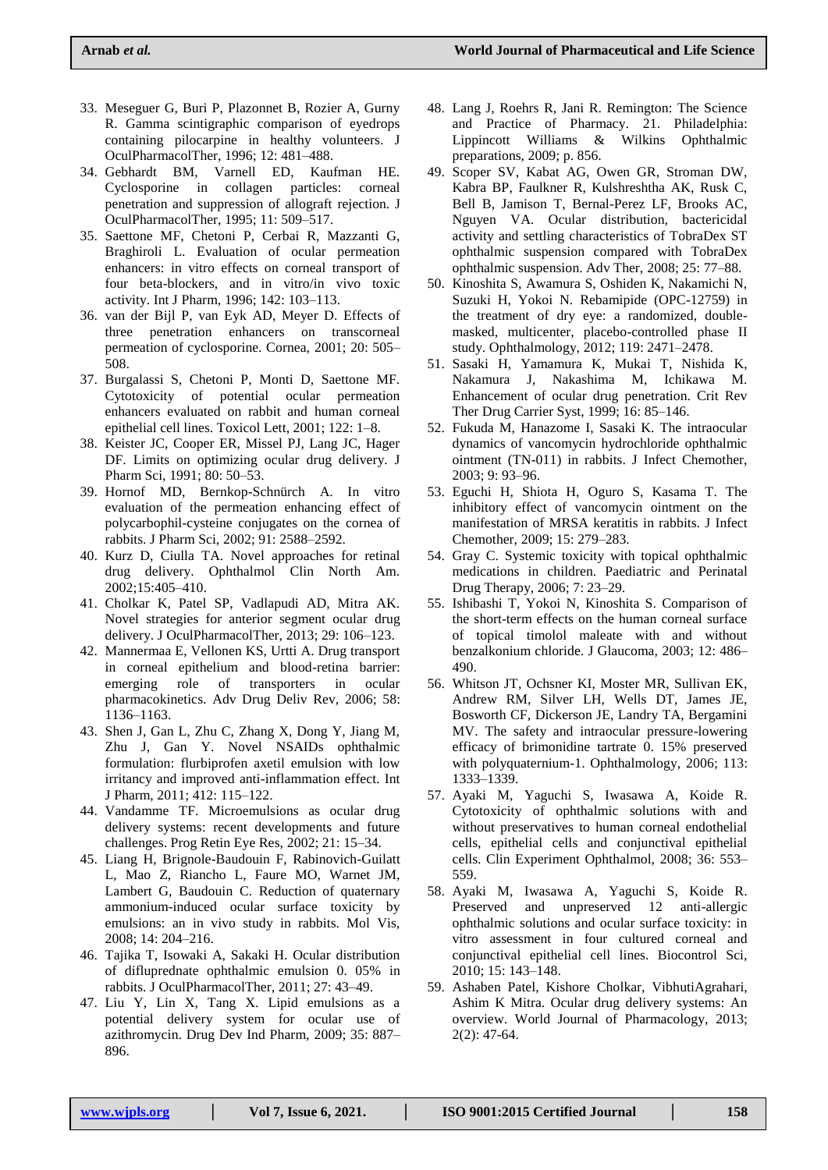- 33. Meseguer G, Buri P, Plazonnet B, Rozier A, Gurny R. Gamma scintigraphic comparison of eyedrops containing pilocarpine in healthy volunteers. J OculPharmacolTher, 1996; 12: 481–488.
- 34. Gebhardt BM, Varnell ED, Kaufman HE. Cyclosporine in collagen particles: corneal penetration and suppression of allograft rejection. J OculPharmacolTher, 1995; 11: 509–517.
- 35. Saettone MF, Chetoni P, Cerbai R, Mazzanti G, Braghiroli L. Evaluation of ocular permeation enhancers: in vitro effects on corneal transport of four beta-blockers, and in vitro/in vivo toxic activity. Int J Pharm, 1996; 142: 103–113.
- 36. van der Bijl P, van Eyk AD, Meyer D. Effects of three penetration enhancers on transcorneal permeation of cyclosporine. Cornea, 2001; 20: 505– 508.
- 37. Burgalassi S, Chetoni P, Monti D, Saettone MF. Cytotoxicity of potential ocular permeation enhancers evaluated on rabbit and human corneal epithelial cell lines. Toxicol Lett, 2001; 122: 1–8.
- 38. Keister JC, Cooper ER, Missel PJ, Lang JC, Hager DF. Limits on optimizing ocular drug delivery. J Pharm Sci, 1991; 80: 50–53.
- 39. Hornof MD, Bernkop-Schnürch A. In vitro evaluation of the permeation enhancing effect of polycarbophil-cysteine conjugates on the cornea of rabbits. J Pharm Sci, 2002; 91: 2588–2592.
- 40. Kurz D, Ciulla TA. Novel approaches for retinal drug delivery. Ophthalmol Clin North Am. 2002;15:405–410.
- 41. Cholkar K, Patel SP, Vadlapudi AD, Mitra AK. Novel strategies for anterior segment ocular drug delivery. J OculPharmacolTher, 2013; 29: 106–123.
- 42. Mannermaa E, Vellonen KS, Urtti A. Drug transport in corneal epithelium and blood-retina barrier: emerging role of transporters in ocular pharmacokinetics. Adv Drug Deliv Rev, 2006; 58: 1136–1163.
- 43. Shen J, Gan L, Zhu C, Zhang X, Dong Y, Jiang M, Zhu J, Gan Y. Novel NSAIDs ophthalmic formulation: flurbiprofen axetil emulsion with low irritancy and improved anti-inflammation effect. Int J Pharm, 2011; 412: 115–122.
- 44. Vandamme TF. Microemulsions as ocular drug delivery systems: recent developments and future challenges. Prog Retin Eye Res, 2002; 21: 15–34.
- 45. Liang H, Brignole-Baudouin F, Rabinovich-Guilatt L, Mao Z, Riancho L, Faure MO, Warnet JM, Lambert G, Baudouin C. Reduction of quaternary ammonium-induced ocular surface toxicity by emulsions: an in vivo study in rabbits. Mol Vis, 2008; 14: 204–216.
- 46. Tajika T, Isowaki A, Sakaki H. Ocular distribution of difluprednate ophthalmic emulsion 0. 05% in rabbits. J OculPharmacolTher, 2011; 27: 43–49.
- 47. Liu Y, Lin X, Tang X. Lipid emulsions as a potential delivery system for ocular use of azithromycin. Drug Dev Ind Pharm, 2009; 35: 887– 896.
- 48. Lang J, Roehrs R, Jani R. Remington: The Science and Practice of Pharmacy. 21. Philadelphia: Lippincott Williams & Wilkins Ophthalmic preparations, 2009; p. 856.
- 49. Scoper SV, Kabat AG, Owen GR, Stroman DW, Kabra BP, Faulkner R, Kulshreshtha AK, Rusk C, Bell B, Jamison T, Bernal-Perez LF, Brooks AC, Nguyen VA. Ocular distribution, bactericidal activity and settling characteristics of TobraDex ST ophthalmic suspension compared with TobraDex ophthalmic suspension. Adv Ther, 2008; 25: 77–88.
- 50. Kinoshita S, Awamura S, Oshiden K, Nakamichi N, Suzuki H, Yokoi N. Rebamipide (OPC-12759) in the treatment of dry eye: a randomized, doublemasked, multicenter, placebo-controlled phase II study. Ophthalmology, 2012; 119: 2471–2478.
- 51. Sasaki H, Yamamura K, Mukai T, Nishida K, Nakamura J, Nakashima M, Ichikawa M. Enhancement of ocular drug penetration. Crit Rev Ther Drug Carrier Syst, 1999; 16: 85–146.
- 52. Fukuda M, Hanazome I, Sasaki K. The intraocular dynamics of vancomycin hydrochloride ophthalmic ointment (TN-011) in rabbits. J Infect Chemother, 2003; 9: 93–96.
- 53. Eguchi H, Shiota H, Oguro S, Kasama T. The inhibitory effect of vancomycin ointment on the manifestation of MRSA keratitis in rabbits. J Infect Chemother, 2009; 15: 279–283.
- 54. Gray C. Systemic toxicity with topical ophthalmic medications in children. Paediatric and Perinatal Drug Therapy, 2006; 7: 23–29.
- 55. Ishibashi T, Yokoi N, Kinoshita S. Comparison of the short-term effects on the human corneal surface of topical timolol maleate with and without benzalkonium chloride. J Glaucoma, 2003; 12: 486– 490.
- 56. Whitson JT, Ochsner KI, Moster MR, Sullivan EK, Andrew RM, Silver LH, Wells DT, James JE, Bosworth CF, Dickerson JE, Landry TA, Bergamini MV. The safety and intraocular pressure-lowering efficacy of brimonidine tartrate 0. 15% preserved with polyquaternium-1. Ophthalmology, 2006; 113: 1333–1339.
- 57. Ayaki M, Yaguchi S, Iwasawa A, Koide R. Cytotoxicity of ophthalmic solutions with and without preservatives to human corneal endothelial cells, epithelial cells and conjunctival epithelial cells. Clin Experiment Ophthalmol, 2008; 36: 553– 559.
- 58. Ayaki M, Iwasawa A, Yaguchi S, Koide R. Preserved and unpreserved 12 anti-allergic ophthalmic solutions and ocular surface toxicity: in vitro assessment in four cultured corneal and conjunctival epithelial cell lines. Biocontrol Sci, 2010; 15: 143–148.
- 59. Ashaben Patel, Kishore Cholkar, VibhutiAgrahari, Ashim K Mitra. Ocular drug delivery systems: An overview. World Journal of Pharmacology, 2013; 2(2): 47-64.